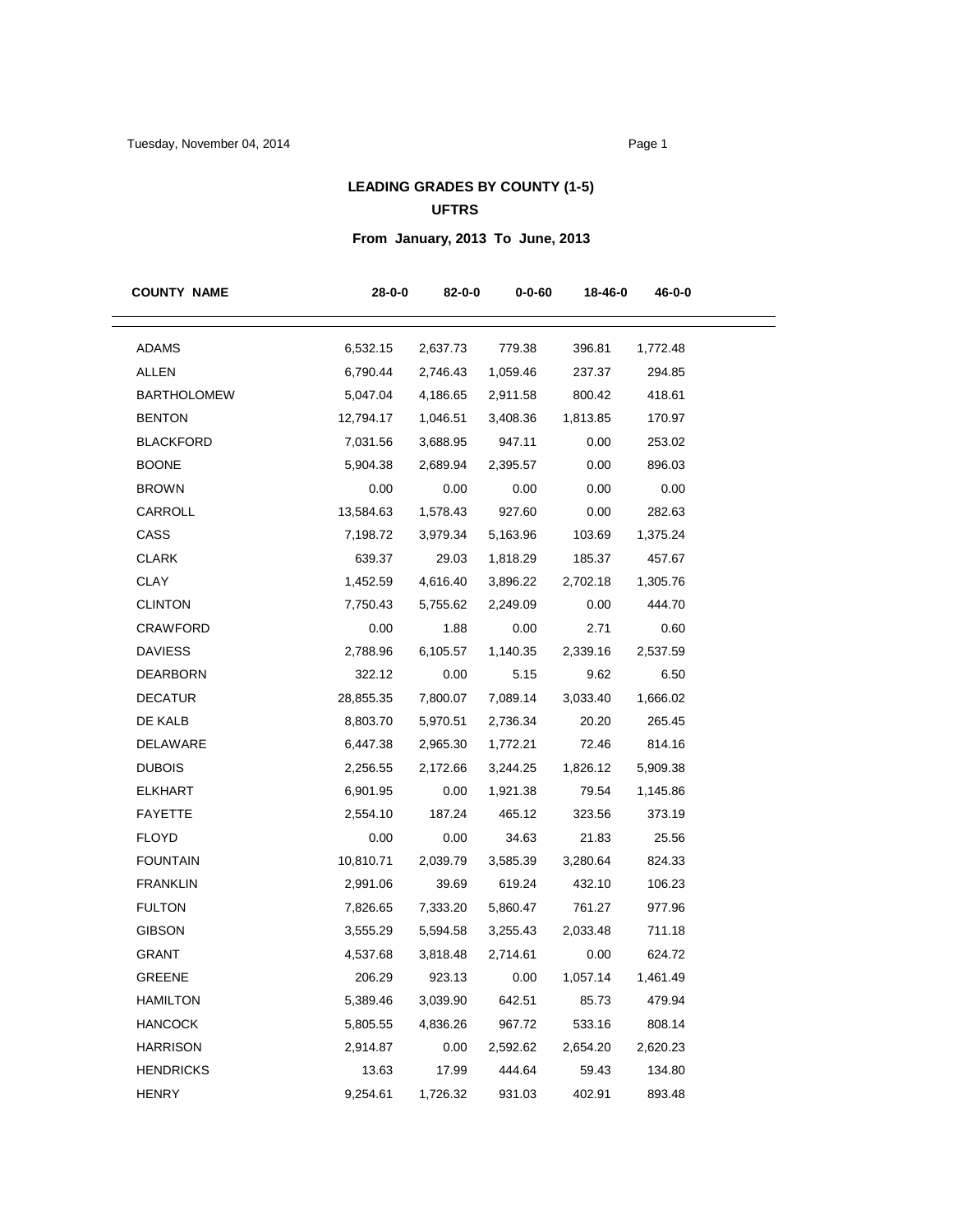## **LEADING GRADES BY COUNTY (1-5) UFTRS**

# **From January, 2013 To June, 2013**

| <b>COUNTY NAME</b> | $28 - 0 - 0$ | 82-0-0   | $0 - 0 - 60$ | 18-46-0  | 46-0-0   |
|--------------------|--------------|----------|--------------|----------|----------|
| <b>ADAMS</b>       | 6,532.15     | 2,637.73 | 779.38       | 396.81   | 1,772.48 |
| ALLEN              | 6,790.44     | 2,746.43 | 1,059.46     | 237.37   | 294.85   |
| <b>BARTHOLOMEW</b> | 5,047.04     | 4,186.65 | 2,911.58     | 800.42   | 418.61   |
| <b>BENTON</b>      | 12,794.17    | 1,046.51 | 3,408.36     | 1,813.85 | 170.97   |
| <b>BLACKFORD</b>   | 7,031.56     | 3,688.95 | 947.11       | 0.00     | 253.02   |
| <b>BOONE</b>       | 5,904.38     | 2,689.94 | 2,395.57     | 0.00     | 896.03   |
| <b>BROWN</b>       | 0.00         | 0.00     | 0.00         | 0.00     | 0.00     |
| CARROLL            | 13,584.63    | 1,578.43 | 927.60       | 0.00     | 282.63   |
| CASS               | 7,198.72     | 3,979.34 | 5,163.96     | 103.69   | 1,375.24 |
| <b>CLARK</b>       | 639.37       | 29.03    | 1,818.29     | 185.37   | 457.67   |
| <b>CLAY</b>        | 1,452.59     | 4,616.40 | 3,896.22     | 2,702.18 | 1,305.76 |
| <b>CLINTON</b>     | 7,750.43     | 5,755.62 | 2,249.09     | 0.00     | 444.70   |
| CRAWFORD           | 0.00         | 1.88     | 0.00         | 2.71     | 0.60     |
| <b>DAVIESS</b>     | 2,788.96     | 6,105.57 | 1,140.35     | 2,339.16 | 2,537.59 |
| <b>DEARBORN</b>    | 322.12       | 0.00     | 5.15         | 9.62     | 6.50     |
| <b>DECATUR</b>     | 28,855.35    | 7,800.07 | 7,089.14     | 3,033.40 | 1,666.02 |
| DE KALB            | 8,803.70     | 5,970.51 | 2,736.34     | 20.20    | 265.45   |
| DELAWARE           | 6,447.38     | 2,965.30 | 1,772.21     | 72.46    | 814.16   |
| <b>DUBOIS</b>      | 2,256.55     | 2,172.66 | 3,244.25     | 1,826.12 | 5,909.38 |
| <b>ELKHART</b>     | 6,901.95     | 0.00     | 1,921.38     | 79.54    | 1,145.86 |
| <b>FAYETTE</b>     | 2,554.10     | 187.24   | 465.12       | 323.56   | 373.19   |
| <b>FLOYD</b>       | 0.00         | 0.00     | 34.63        | 21.83    | 25.56    |
| <b>FOUNTAIN</b>    | 10,810.71    | 2,039.79 | 3,585.39     | 3,280.64 | 824.33   |
| <b>FRANKLIN</b>    | 2,991.06     | 39.69    | 619.24       | 432.10   | 106.23   |
| <b>FULTON</b>      | 7,826.65     | 7,333.20 | 5,860.47     | 761.27   | 977.96   |
| <b>GIBSON</b>      | 3,555.29     | 5,594.58 | 3,255.43     | 2,033.48 | 711.18   |
| <b>GRANT</b>       | 4,537.68     | 3,818.48 | 2,714.61     | 0.00     | 624.72   |
| GREENE             | 206.29       | 923.13   | 0.00         | 1,057.14 | 1,461.49 |
| HAMILTON           | 5,389.46     | 3,039.90 | 642.51       | 85.73    | 479.94   |
| <b>HANCOCK</b>     | 5,805.55     | 4,836.26 | 967.72       | 533.16   | 808.14   |
| <b>HARRISON</b>    | 2,914.87     | 0.00     | 2,592.62     | 2,654.20 | 2,620.23 |
| <b>HENDRICKS</b>   | 13.63        | 17.99    | 444.64       | 59.43    | 134.80   |
| <b>HENRY</b>       | 9,254.61     | 1,726.32 | 931.03       | 402.91   | 893.48   |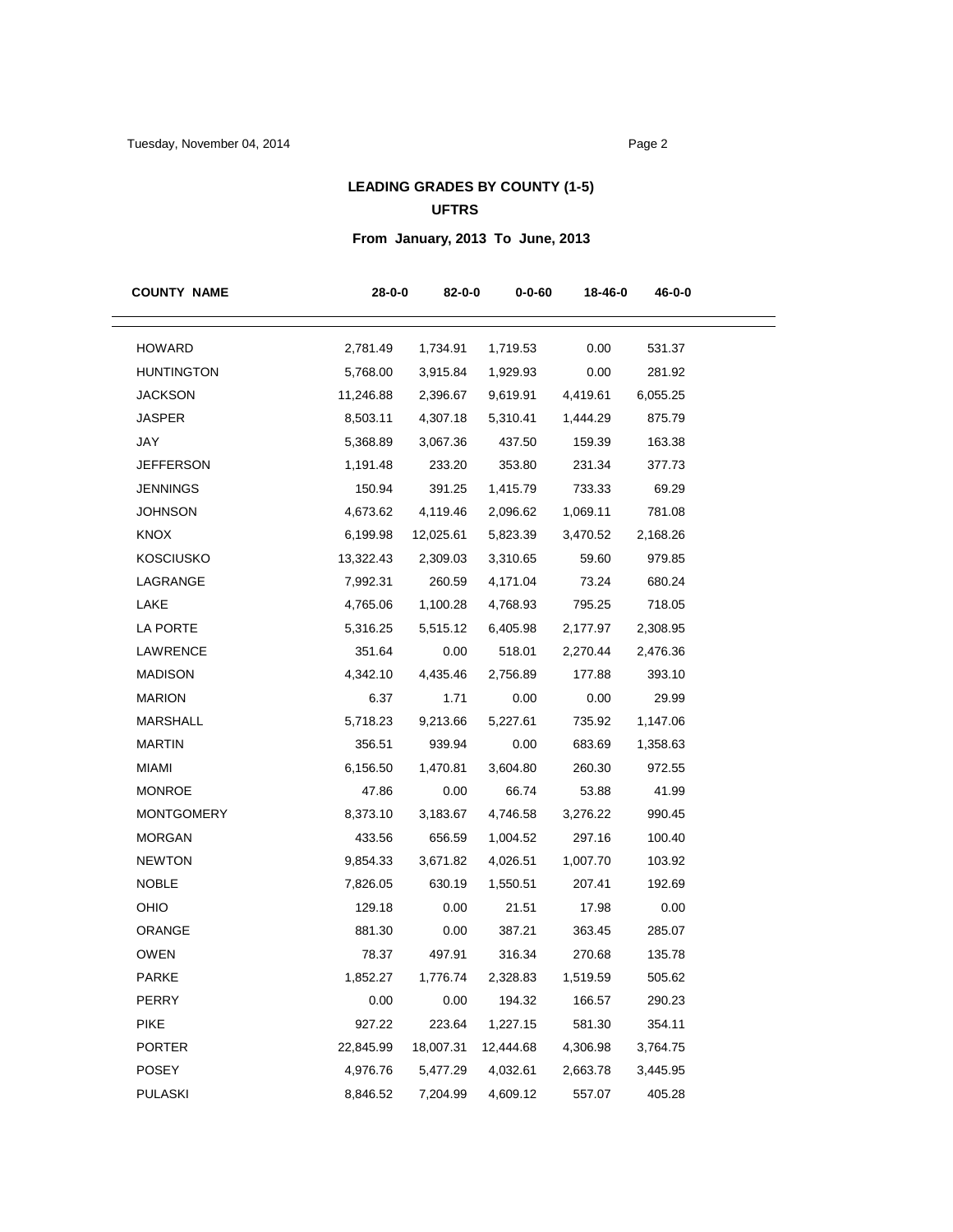## **LEADING GRADES BY COUNTY (1-5) UFTRS**

# **From January, 2013 To June, 2013**

| <b>COUNTY NAME</b> | $28 - 0 - 0$ | 82-0-0    | $0 - 0 - 60$ | 18-46-0  | 46-0-0   |
|--------------------|--------------|-----------|--------------|----------|----------|
| <b>HOWARD</b>      | 2,781.49     | 1,734.91  | 1,719.53     | 0.00     | 531.37   |
| <b>HUNTINGTON</b>  | 5,768.00     | 3,915.84  | 1,929.93     | 0.00     | 281.92   |
| <b>JACKSON</b>     | 11,246.88    | 2,396.67  | 9,619.91     | 4,419.61 | 6,055.25 |
| <b>JASPER</b>      | 8,503.11     | 4,307.18  | 5,310.41     | 1,444.29 | 875.79   |
| JAY                | 5,368.89     | 3,067.36  | 437.50       | 159.39   | 163.38   |
| <b>JEFFERSON</b>   | 1,191.48     | 233.20    | 353.80       | 231.34   | 377.73   |
| <b>JENNINGS</b>    | 150.94       | 391.25    | 1,415.79     | 733.33   | 69.29    |
| <b>JOHNSON</b>     | 4,673.62     | 4,119.46  | 2,096.62     | 1,069.11 | 781.08   |
| <b>KNOX</b>        | 6,199.98     | 12,025.61 | 5,823.39     | 3,470.52 | 2,168.26 |
| <b>KOSCIUSKO</b>   | 13,322.43    | 2,309.03  | 3,310.65     | 59.60    | 979.85   |
| LAGRANGE           | 7,992.31     | 260.59    | 4,171.04     | 73.24    | 680.24   |
| LAKE               | 4,765.06     | 1,100.28  | 4,768.93     | 795.25   | 718.05   |
| LA PORTE           | 5,316.25     | 5,515.12  | 6,405.98     | 2,177.97 | 2,308.95 |
| LAWRENCE           | 351.64       | 0.00      | 518.01       | 2,270.44 | 2,476.36 |
| <b>MADISON</b>     | 4,342.10     | 4,435.46  | 2,756.89     | 177.88   | 393.10   |
| <b>MARION</b>      | 6.37         | 1.71      | 0.00         | 0.00     | 29.99    |
| <b>MARSHALL</b>    | 5,718.23     | 9,213.66  | 5,227.61     | 735.92   | 1,147.06 |
| <b>MARTIN</b>      | 356.51       | 939.94    | 0.00         | 683.69   | 1,358.63 |
| <b>MIAMI</b>       | 6,156.50     | 1,470.81  | 3,604.80     | 260.30   | 972.55   |
| <b>MONROE</b>      | 47.86        | 0.00      | 66.74        | 53.88    | 41.99    |
| <b>MONTGOMERY</b>  | 8,373.10     | 3,183.67  | 4,746.58     | 3,276.22 | 990.45   |
| <b>MORGAN</b>      | 433.56       | 656.59    | 1,004.52     | 297.16   | 100.40   |
| <b>NEWTON</b>      | 9,854.33     | 3,671.82  | 4,026.51     | 1,007.70 | 103.92   |
| <b>NOBLE</b>       | 7,826.05     | 630.19    | 1,550.51     | 207.41   | 192.69   |
| OHIO               | 129.18       | 0.00      | 21.51        | 17.98    | 0.00     |
| ORANGE             | 881.30       | 0.00      | 387.21       | 363.45   | 285.07   |
| <b>OWEN</b>        | 78.37        | 497.91    | 316.34       | 270.68   | 135.78   |
| <b>PARKE</b>       | 1,852.27     | 1,776.74  | 2,328.83     | 1,519.59 | 505.62   |
| <b>PERRY</b>       | 0.00         | 0.00      | 194.32       | 166.57   | 290.23   |
| <b>PIKE</b>        | 927.22       | 223.64    | 1,227.15     | 581.30   | 354.11   |
| <b>PORTER</b>      | 22,845.99    | 18,007.31 | 12,444.68    | 4,306.98 | 3,764.75 |
| POSEY              | 4,976.76     | 5,477.29  | 4,032.61     | 2,663.78 | 3,445.95 |
| <b>PULASKI</b>     | 8,846.52     | 7,204.99  | 4,609.12     | 557.07   | 405.28   |